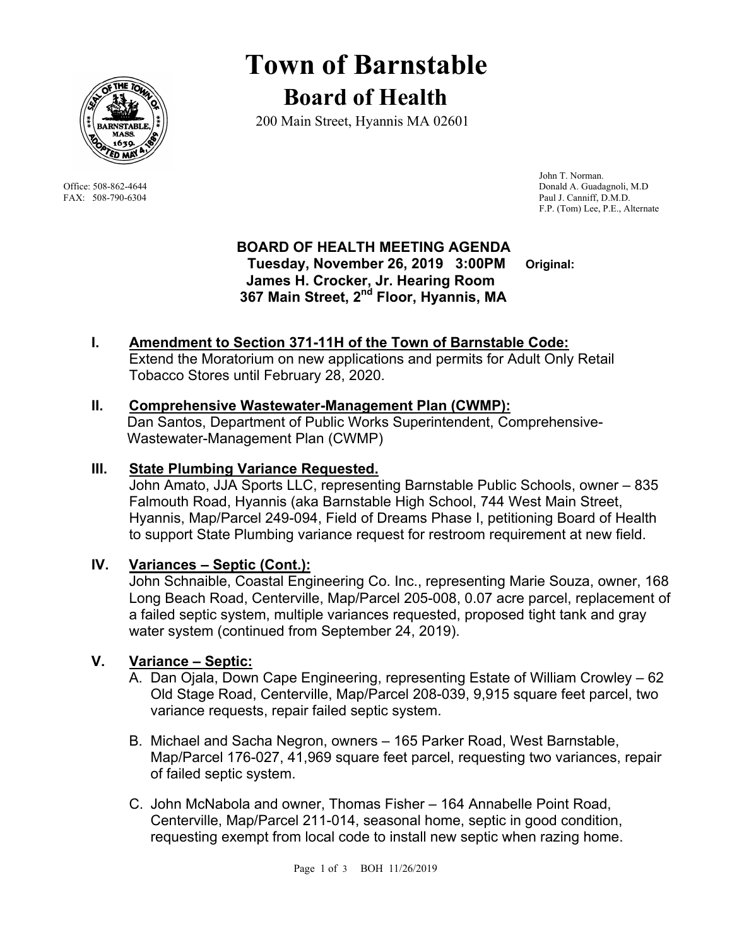

# **Town of Barnstable Board of Health**

200 Main Street, Hyannis MA 02601

 John T. Norman. Office: 508-862-4644 Donald A. Guadagnoli, M.D FAX: 508-790-6304 Paul J. Canniff, D.M.D. F.P. (Tom) Lee, P.E., Alternate

### **BOARD OF HEALTH MEETING AGENDA**

 **Tuesday, November 26, 2019 3:00PM Original: James H. Crocker, Jr. Hearing Room 367 Main Street, 2nd Floor, Hyannis, MA** 

### **I. Amendment to Section 371-11H of the Town of Barnstable Code:** Extend the Moratorium on new applications and permits for Adult Only Retail

## Tobacco Stores until February 28, 2020.

#### **II. Comprehensive Wastewater-Management Plan (CWMP):**

Dan Santos, Department of Public Works Superintendent, Comprehensive-Wastewater-Management Plan (CWMP)

#### **III. State Plumbing Variance Requested.**

John Amato, JJA Sports LLC, representing Barnstable Public Schools, owner – 835 Falmouth Road, Hyannis (aka Barnstable High School, 744 West Main Street, Hyannis, Map/Parcel 249-094, Field of Dreams Phase I, petitioning Board of Health to support State Plumbing variance request for restroom requirement at new field.

#### **IV. Variances – Septic (Cont.):**

John Schnaible, Coastal Engineering Co. Inc., representing Marie Souza, owner, 168 Long Beach Road, Centerville, Map/Parcel 205-008, 0.07 acre parcel, replacement of a failed septic system, multiple variances requested, proposed tight tank and gray water system (continued from September 24, 2019).

#### **V. Variance – Septic:**

- A. Dan Ojala, Down Cape Engineering, representing Estate of William Crowley 62 Old Stage Road, Centerville, Map/Parcel 208-039, 9,915 square feet parcel, two variance requests, repair failed septic system.
- B. Michael and Sacha Negron, owners 165 Parker Road, West Barnstable, Map/Parcel 176-027, 41,969 square feet parcel, requesting two variances, repair of failed septic system.
- C. John McNabola and owner, Thomas Fisher 164 Annabelle Point Road, Centerville, Map/Parcel 211-014, seasonal home, septic in good condition, requesting exempt from local code to install new septic when razing home.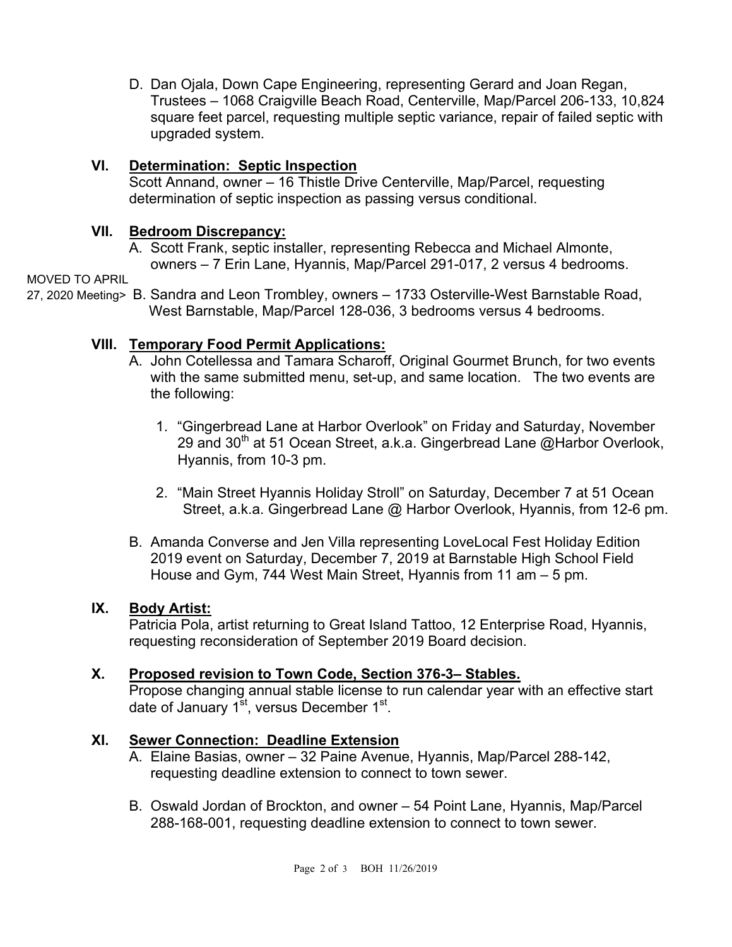D. Dan Ojala, Down Cape Engineering, representing Gerard and Joan Regan, Trustees – 1068 Craigville Beach Road, Centerville, Map/Parcel 206-133, 10,824 square feet parcel, requesting multiple septic variance, repair of failed septic with upgraded system.

#### **VI. Determination: Septic Inspection**

Scott Annand, owner – 16 Thistle Drive Centerville, Map/Parcel, requesting determination of septic inspection as passing versus conditional.

#### **VII. Bedroom Discrepancy:**

A. Scott Frank, septic installer, representing Rebecca and Michael Almonte, owners – 7 Erin Lane, Hyannis, Map/Parcel 291-017, 2 versus 4 bedrooms.

MOVED TO APRIL

27, 2020 Meeting> B. Sandra and Leon Trombley, owners – 1733 Osterville-West Barnstable Road, West Barnstable, Map/Parcel 128-036, 3 bedrooms versus 4 bedrooms.

#### **VIII. Temporary Food Permit Applications:**

- A. John Cotellessa and Tamara Scharoff, Original Gourmet Brunch, for two events with the same submitted menu, set-up, and same location. The two events are the following:
	- 1. "Gingerbread Lane at Harbor Overlook" on Friday and Saturday, November 29 and 30<sup>th</sup> at 51 Ocean Street, a.k.a. Gingerbread Lane @Harbor Overlook, Hyannis, from 10-3 pm.
	- 2. "Main Street Hyannis Holiday Stroll" on Saturday, December 7 at 51 Ocean Street, a.k.a. Gingerbread Lane @ Harbor Overlook, Hyannis, from 12-6 pm.
- B. Amanda Converse and Jen Villa representing LoveLocal Fest Holiday Edition 2019 event on Saturday, December 7, 2019 at Barnstable High School Field House and Gym, 744 West Main Street, Hyannis from 11 am – 5 pm.

#### **IX. Body Artist:**

Patricia Pola, artist returning to Great Island Tattoo, 12 Enterprise Road, Hyannis, requesting reconsideration of September 2019 Board decision.

#### **X. Proposed revision to Town Code, Section 376-3– Stables.**

Propose changing annual stable license to run calendar year with an effective start date of January 1<sup>st</sup>, versus December 1<sup>st</sup>.

#### **XI. Sewer Connection: Deadline Extension**

- A. Elaine Basias, owner 32 Paine Avenue, Hyannis, Map/Parcel 288-142, requesting deadline extension to connect to town sewer.
- B. Oswald Jordan of Brockton, and owner 54 Point Lane, Hyannis, Map/Parcel 288-168-001, requesting deadline extension to connect to town sewer.